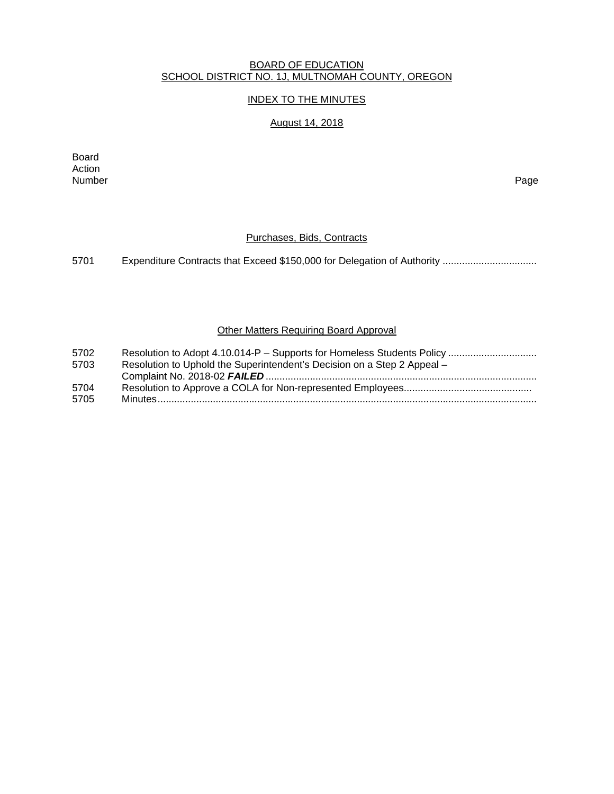### BOARD OF EDUCATION SCHOOL DISTRICT NO. 1J, MULTNOMAH COUNTY, OREGON

## INDEX TO THE MINUTES

# August 14, 2018

Board Action<br>Number Number Page

### Purchases, Bids, Contracts

5701 Expenditure Contracts that Exceed \$150,000 for Delegation of Authority .................................

### **Other Matters Requiring Board Approval**

| 5702 |                                                                         |
|------|-------------------------------------------------------------------------|
| 5703 | Resolution to Uphold the Superintendent's Decision on a Step 2 Appeal - |
|      |                                                                         |
| 5704 |                                                                         |
| 5705 |                                                                         |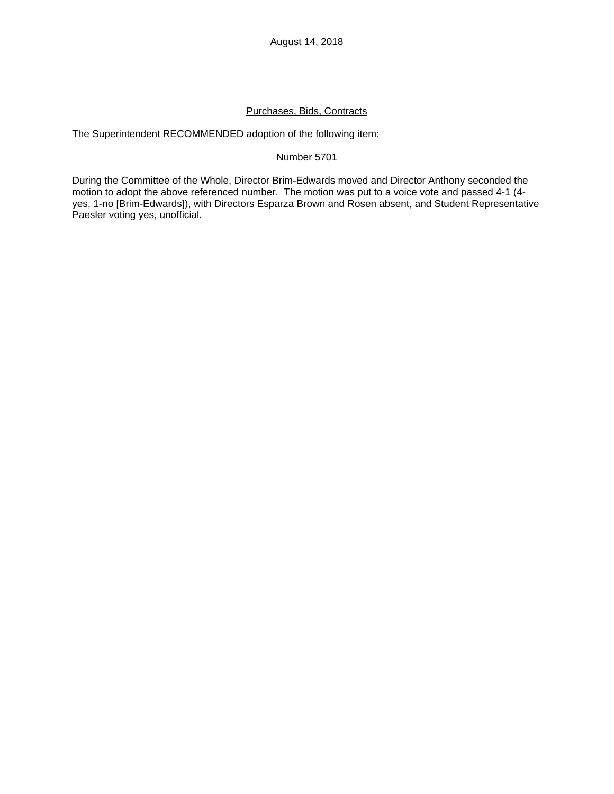# Purchases, Bids, Contracts

The Superintendent RECOMMENDED adoption of the following item:

#### Number 5701

During the Committee of the Whole, Director Brim-Edwards moved and Director Anthony seconded the motion to adopt the above referenced number. The motion was put to a voice vote and passed 4-1 (4 yes, 1-no [Brim-Edwards]), with Directors Esparza Brown and Rosen absent, and Student Representative Paesler voting yes, unofficial.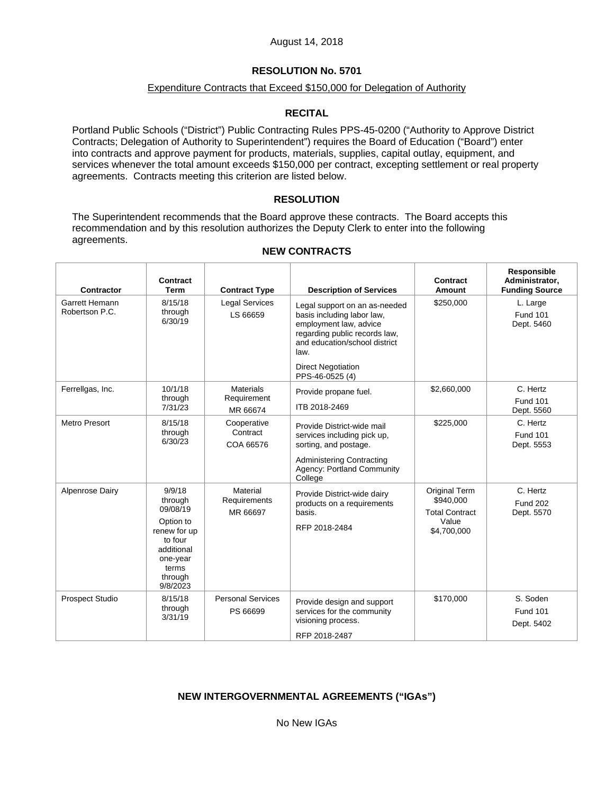# **RESOLUTION No. 5701**

## Expenditure Contracts that Exceed \$150,000 for Delegation of Authority

## **RECITAL**

Portland Public Schools ("District") Public Contracting Rules PPS-45-0200 ("Authority to Approve District Contracts; Delegation of Authority to Superintendent") requires the Board of Education ("Board") enter into contracts and approve payment for products, materials, supplies, capital outlay, equipment, and services whenever the total amount exceeds \$150,000 per contract, excepting settlement or real property agreements. Contracts meeting this criterion are listed below.

### **RESOLUTION**

The Superintendent recommends that the Board approve these contracts. The Board accepts this recommendation and by this resolution authorizes the Deputy Clerk to enter into the following agreements.

| Contractor                       | Contract<br><b>Term</b>                                                                                                         | <b>Contract Type</b>                        | <b>Description of Services</b>                                                                                                                                                                                  | Contract<br><b>Amount</b>                                                          | Responsible<br>Administrator,<br><b>Funding Source</b> |
|----------------------------------|---------------------------------------------------------------------------------------------------------------------------------|---------------------------------------------|-----------------------------------------------------------------------------------------------------------------------------------------------------------------------------------------------------------------|------------------------------------------------------------------------------------|--------------------------------------------------------|
| Garrett Hemann<br>Robertson P.C. | 8/15/18<br>through<br>6/30/19                                                                                                   | <b>Legal Services</b><br>LS 66659           | Legal support on an as-needed<br>basis including labor law,<br>employment law, advice<br>regarding public records law,<br>and education/school district<br>law.<br><b>Direct Negotiation</b><br>PPS-46-0525 (4) | \$250,000                                                                          | L. Large<br><b>Fund 101</b><br>Dept. 5460              |
| Ferrellgas, Inc.                 | 10/1/18<br>through<br>7/31/23                                                                                                   | <b>Materials</b><br>Requirement<br>MR 66674 | Provide propane fuel.<br>ITB 2018-2469                                                                                                                                                                          | \$2,660,000                                                                        | C. Hertz<br><b>Fund 101</b><br>Dept. 5560              |
| <b>Metro Presort</b>             | 8/15/18<br>through<br>6/30/23                                                                                                   | Cooperative<br>Contract<br>COA 66576        | Provide District-wide mail<br>services including pick up,<br>sorting, and postage.<br><b>Administering Contracting</b><br><b>Agency: Portland Community</b><br>College                                          | \$225,000                                                                          | C. Hertz<br><b>Fund 101</b><br>Dept. 5553              |
| Alpenrose Dairy                  | 9/9/18<br>through<br>09/08/19<br>Option to<br>renew for up<br>to four<br>additional<br>one-year<br>terms<br>through<br>9/8/2023 | Material<br>Requirements<br>MR 66697        | Provide District-wide dairy<br>products on a requirements<br>basis.<br>RFP 2018-2484                                                                                                                            | <b>Original Term</b><br>\$940,000<br><b>Total Contract</b><br>Value<br>\$4,700,000 | C. Hertz<br><b>Fund 202</b><br>Dept. 5570              |
| <b>Prospect Studio</b>           | 8/15/18<br>through<br>3/31/19                                                                                                   | <b>Personal Services</b><br>PS 66699        | Provide design and support<br>services for the community<br>visioning process.<br>RFP 2018-2487                                                                                                                 | \$170,000                                                                          | S. Soden<br><b>Fund 101</b><br>Dept. 5402              |

## **NEW CONTRACTS**

## **NEW INTERGOVERNMENTAL AGREEMENTS ("IGAs")**

No New IGAs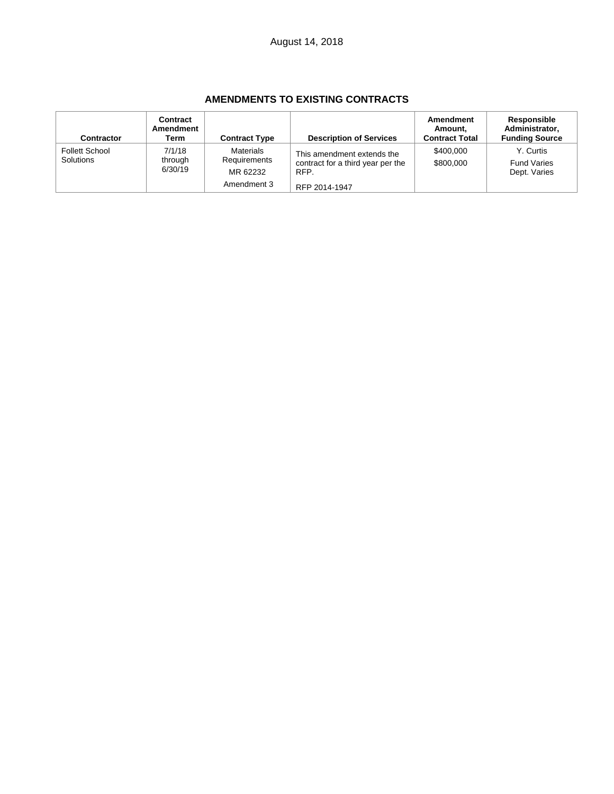## **AMENDMENTS TO EXISTING CONTRACTS**

| Contractor                         | Contract<br>Amendment<br>Term | <b>Contract Type</b>                                 | <b>Description of Services</b>                                                           | Amendment<br>Amount,<br><b>Contract Total</b> | <b>Responsible</b><br>Administrator,<br><b>Funding Source</b> |
|------------------------------------|-------------------------------|------------------------------------------------------|------------------------------------------------------------------------------------------|-----------------------------------------------|---------------------------------------------------------------|
| <b>Follett School</b><br>Solutions | 7/1/18<br>through<br>6/30/19  | Materials<br>Requirements<br>MR 62232<br>Amendment 3 | This amendment extends the<br>contract for a third year per the<br>RFP.<br>RFP 2014-1947 | \$400,000<br>\$800,000                        | Y. Curtis<br><b>Fund Varies</b><br>Dept. Varies               |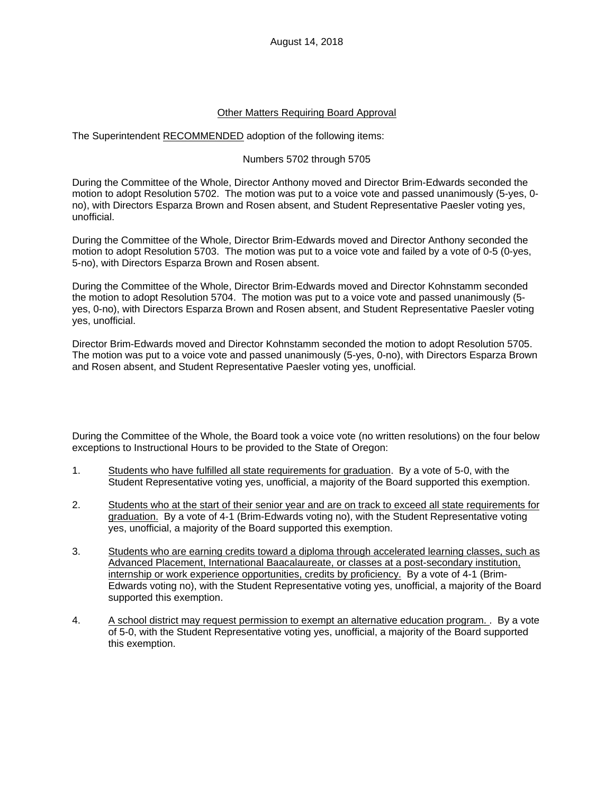## Other Matters Requiring Board Approval

The Superintendent RECOMMENDED adoption of the following items:

## Numbers 5702 through 5705

During the Committee of the Whole, Director Anthony moved and Director Brim-Edwards seconded the motion to adopt Resolution 5702. The motion was put to a voice vote and passed unanimously (5-yes, 0 no), with Directors Esparza Brown and Rosen absent, and Student Representative Paesler voting yes, unofficial.

During the Committee of the Whole, Director Brim-Edwards moved and Director Anthony seconded the motion to adopt Resolution 5703. The motion was put to a voice vote and failed by a vote of 0-5 (0-yes, 5-no), with Directors Esparza Brown and Rosen absent.

During the Committee of the Whole, Director Brim-Edwards moved and Director Kohnstamm seconded the motion to adopt Resolution 5704. The motion was put to a voice vote and passed unanimously (5 yes, 0-no), with Directors Esparza Brown and Rosen absent, and Student Representative Paesler voting yes, unofficial.

Director Brim-Edwards moved and Director Kohnstamm seconded the motion to adopt Resolution 5705. The motion was put to a voice vote and passed unanimously (5-yes, 0-no), with Directors Esparza Brown and Rosen absent, and Student Representative Paesler voting yes, unofficial.

During the Committee of the Whole, the Board took a voice vote (no written resolutions) on the four below exceptions to Instructional Hours to be provided to the State of Oregon:

- 1. Students who have fulfilled all state requirements for graduation. By a vote of 5-0, with the Student Representative voting yes, unofficial, a majority of the Board supported this exemption.
- 2. Students who at the start of their senior year and are on track to exceed all state requirements for graduation. By a vote of 4-1 (Brim-Edwards voting no), with the Student Representative voting yes, unofficial, a majority of the Board supported this exemption.
- 3. Students who are earning credits toward a diploma through accelerated learning classes, such as Advanced Placement, International Baacalaureate, or classes at a post-secondary institution, internship or work experience opportunities, credits by proficiency. By a vote of 4-1 (Brim-Edwards voting no), with the Student Representative voting yes, unofficial, a majority of the Board supported this exemption.
- 4. A school district may request permission to exempt an alternative education program. . By a vote of 5-0, with the Student Representative voting yes, unofficial, a majority of the Board supported this exemption.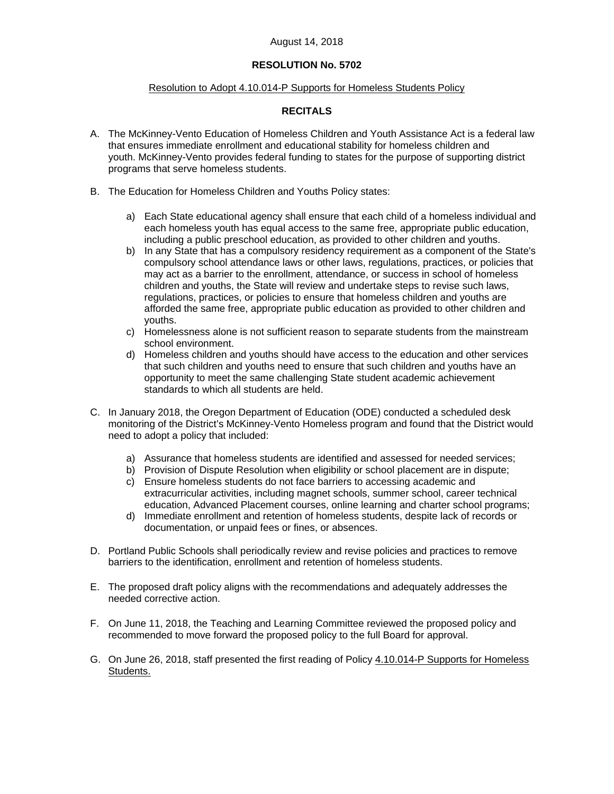### August 14, 2018

## **RESOLUTION No. 5702**

### Resolution to Adopt 4.10.014-P Supports for Homeless Students Policy

## **RECITALS**

- A. The McKinney-Vento Education of Homeless Children and Youth Assistance Act is a federal law that ensures immediate enrollment and educational stability for homeless children and youth. McKinney-Vento provides federal funding to states for the purpose of supporting district programs that serve homeless students.
- B. The Education for Homeless Children and Youths Policy states:
	- a) Each State educational agency shall ensure that each child of a homeless individual and each homeless youth has equal access to the same free, appropriate public education, including a public preschool education, as provided to other children and youths.
	- b) In any State that has a compulsory residency requirement as a component of the State's compulsory school attendance laws or other laws, regulations, practices, or policies that may act as a barrier to the enrollment, attendance, or success in school of homeless children and youths, the State will review and undertake steps to revise such laws, regulations, practices, or policies to ensure that homeless children and youths are afforded the same free, appropriate public education as provided to other children and youths.
	- c) Homelessness alone is not sufficient reason to separate students from the mainstream school environment.
	- d) Homeless children and youths should have access to the education and other services that such children and youths need to ensure that such children and youths have an opportunity to meet the same challenging State student academic achievement standards to which all students are held.
- C. In January 2018, the Oregon Department of Education (ODE) conducted a scheduled desk monitoring of the District's McKinney-Vento Homeless program and found that the District would need to adopt a policy that included:
	- a) Assurance that homeless students are identified and assessed for needed services;
	- b) Provision of Dispute Resolution when eligibility or school placement are in dispute;
	- c) Ensure homeless students do not face barriers to accessing academic and extracurricular activities, including magnet schools, summer school, career technical education, Advanced Placement courses, online learning and charter school programs;
	- d) Immediate enrollment and retention of homeless students, despite lack of records or documentation, or unpaid fees or fines, or absences.
- D. Portland Public Schools shall periodically review and revise policies and practices to remove barriers to the identification, enrollment and retention of homeless students.
- E. The proposed draft policy aligns with the recommendations and adequately addresses the needed corrective action.
- F. On June 11, 2018, the Teaching and Learning Committee reviewed the proposed policy and recommended to move forward the proposed policy to the full Board for approval.
- G. On June 26, 2018, staff presented the first reading of Policy 4.10.014-P Supports for Homeless Students.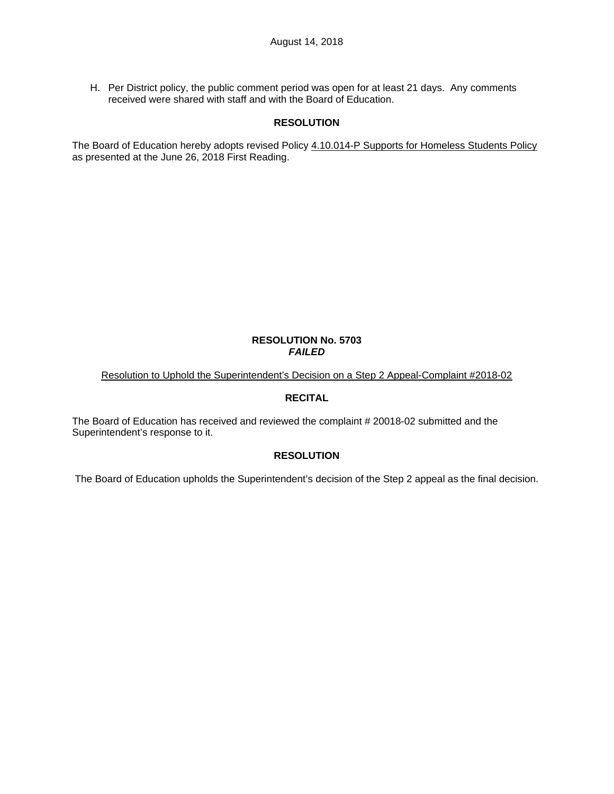H. Per District policy, the public comment period was open for at least 21 days. Any comments received were shared with staff and with the Board of Education.

## **RESOLUTION**

The Board of Education hereby adopts revised Policy 4.10.014-P Supports for Homeless Students Policy as presented at the June 26, 2018 First Reading.

#### **RESOLUTION No. 5703**  *FAILED*

Resolution to Uphold the Superintendent's Decision on a Step 2 Appeal-Complaint #2018-02

# **RECITAL**

The Board of Education has received and reviewed the complaint # 20018-02 submitted and the Superintendent's response to it.

#### **RESOLUTION**

The Board of Education upholds the Superintendent's decision of the Step 2 appeal as the final decision.